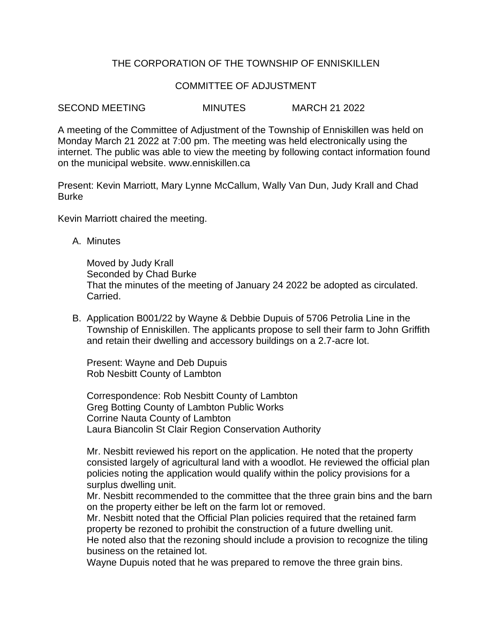# THE CORPORATION OF THE TOWNSHIP OF ENNISKILLEN

## COMMITTEE OF ADJUSTMENT

SECOND MEETING MINUTES MARCH 21 2022

A meeting of the Committee of Adjustment of the Township of Enniskillen was held on Monday March 21 2022 at 7:00 pm. The meeting was held electronically using the internet. The public was able to view the meeting by following contact information found on the municipal website. www.enniskillen.ca

Present: Kevin Marriott, Mary Lynne McCallum, Wally Van Dun, Judy Krall and Chad Burke

Kevin Marriott chaired the meeting.

A. Minutes

Moved by Judy Krall Seconded by Chad Burke That the minutes of the meeting of January 24 2022 be adopted as circulated. Carried.

B. Application B001/22 by Wayne & Debbie Dupuis of 5706 Petrolia Line in the Township of Enniskillen. The applicants propose to sell their farm to John Griffith and retain their dwelling and accessory buildings on a 2.7-acre lot.

Present: Wayne and Deb Dupuis Rob Nesbitt County of Lambton

Correspondence: Rob Nesbitt County of Lambton Greg Botting County of Lambton Public Works Corrine Nauta County of Lambton Laura Biancolin St Clair Region Conservation Authority

Mr. Nesbitt reviewed his report on the application. He noted that the property consisted largely of agricultural land with a woodlot. He reviewed the official plan policies noting the application would qualify within the policy provisions for a surplus dwelling unit.

Mr. Nesbitt recommended to the committee that the three grain bins and the barn on the property either be left on the farm lot or removed.

Mr. Nesbitt noted that the Official Plan policies required that the retained farm property be rezoned to prohibit the construction of a future dwelling unit. He noted also that the rezoning should include a provision to recognize the tiling business on the retained lot.

Wayne Dupuis noted that he was prepared to remove the three grain bins.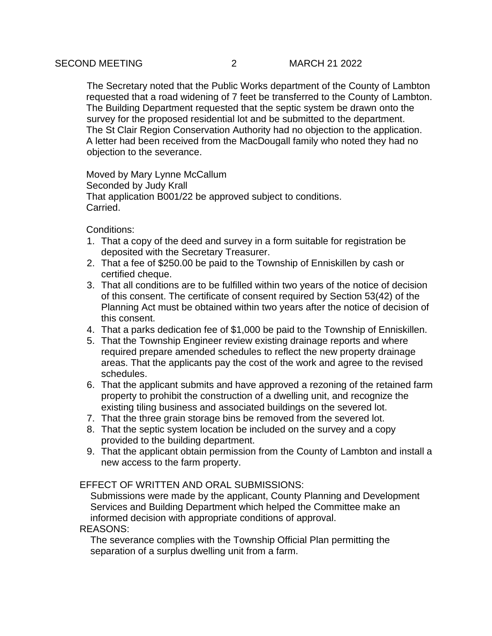The Secretary noted that the Public Works department of the County of Lambton requested that a road widening of 7 feet be transferred to the County of Lambton. The Building Department requested that the septic system be drawn onto the survey for the proposed residential lot and be submitted to the department. The St Clair Region Conservation Authority had no objection to the application. A letter had been received from the MacDougall family who noted they had no objection to the severance.

Moved by Mary Lynne McCallum Seconded by Judy Krall That application B001/22 be approved subject to conditions. Carried.

Conditions:

- 1. That a copy of the deed and survey in a form suitable for registration be deposited with the Secretary Treasurer.
- 2. That a fee of \$250.00 be paid to the Township of Enniskillen by cash or certified cheque.
- 3. That all conditions are to be fulfilled within two years of the notice of decision of this consent. The certificate of consent required by Section 53(42) of the Planning Act must be obtained within two years after the notice of decision of this consent.
- 4. That a parks dedication fee of \$1,000 be paid to the Township of Enniskillen.
- 5. That the Township Engineer review existing drainage reports and where required prepare amended schedules to reflect the new property drainage areas. That the applicants pay the cost of the work and agree to the revised schedules.
- 6. That the applicant submits and have approved a rezoning of the retained farm property to prohibit the construction of a dwelling unit, and recognize the existing tiling business and associated buildings on the severed lot.
- 7. That the three grain storage bins be removed from the severed lot.
- 8. That the septic system location be included on the survey and a copy provided to the building department.
- 9. That the applicant obtain permission from the County of Lambton and install a new access to the farm property.

## EFFECT OF WRITTEN AND ORAL SUBMISSIONS:

Submissions were made by the applicant, County Planning and Development Services and Building Department which helped the Committee make an informed decision with appropriate conditions of approval.

#### REASONS:

The severance complies with the Township Official Plan permitting the separation of a surplus dwelling unit from a farm.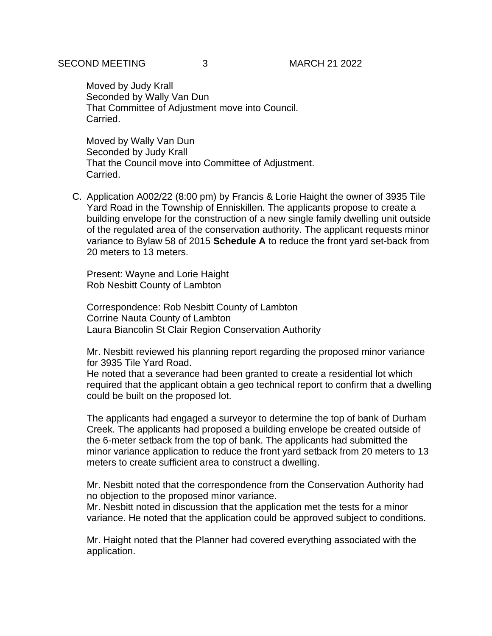Moved by Judy Krall Seconded by Wally Van Dun That Committee of Adjustment move into Council. Carried.

Moved by Wally Van Dun Seconded by Judy Krall That the Council move into Committee of Adjustment. Carried.

C. Application A002/22 (8:00 pm) by Francis & Lorie Haight the owner of 3935 Tile Yard Road in the Township of Enniskillen. The applicants propose to create a building envelope for the construction of a new single family dwelling unit outside of the regulated area of the conservation authority. The applicant requests minor variance to Bylaw 58 of 2015 **Schedule A** to reduce the front yard set-back from 20 meters to 13 meters.

Present: Wayne and Lorie Haight Rob Nesbitt County of Lambton

Correspondence: Rob Nesbitt County of Lambton Corrine Nauta County of Lambton Laura Biancolin St Clair Region Conservation Authority

Mr. Nesbitt reviewed his planning report regarding the proposed minor variance for 3935 Tile Yard Road.

He noted that a severance had been granted to create a residential lot which required that the applicant obtain a geo technical report to confirm that a dwelling could be built on the proposed lot.

The applicants had engaged a surveyor to determine the top of bank of Durham Creek. The applicants had proposed a building envelope be created outside of the 6-meter setback from the top of bank. The applicants had submitted the minor variance application to reduce the front yard setback from 20 meters to 13 meters to create sufficient area to construct a dwelling.

Mr. Nesbitt noted that the correspondence from the Conservation Authority had no objection to the proposed minor variance.

Mr. Nesbitt noted in discussion that the application met the tests for a minor variance. He noted that the application could be approved subject to conditions.

Mr. Haight noted that the Planner had covered everything associated with the application.